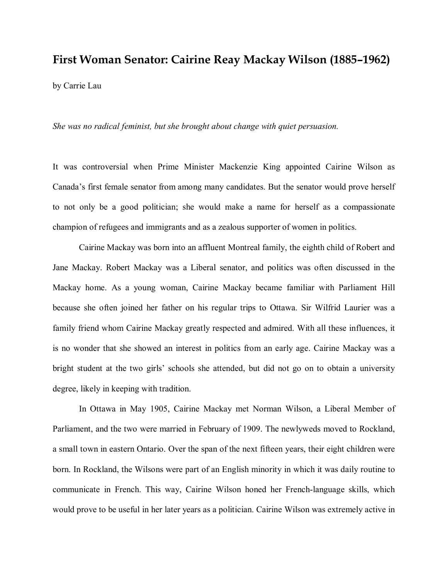## **First Woman Senator: Cairine Reay Mackay Wilson (1885–1962)** by Carrie Lau

*She was no radical feminist, but she brought about change with quiet persuasion.*

It was controversial when Prime Minister Mackenzie King appointed Cairine Wilson as Canada's first female senator from among many candidates. But the senator would prove herself to not only be a good politician; she would make a name for herself as a compassionate champion of refugees and immigrants and as a zealous supporter of women in politics.

Cairine Mackay was born into an affluent Montreal family, the eighth child of Robert and Jane Mackay. Robert Mackay was a Liberal senator, and politics was often discussed in the Mackay home. As a young woman, Cairine Mackay became familiar with Parliament Hill because she often joined her father on his regular trips to Ottawa. Sir Wilfrid Laurier was a family friend whom Cairine Mackay greatly respected and admired. With all these influences, it is no wonder that she showed an interest in politics from an early age. Cairine Mackay was a bright student at the two girls' schools she attended, but did not go on to obtain a university degree, likely in keeping with tradition.

In Ottawa in May 1905, Cairine Mackay met Norman Wilson, a Liberal Member of Parliament, and the two were married in February of 1909. The newlyweds moved to Rockland, a small town in eastern Ontario. Over the span of the next fifteen years, their eight children were born. In Rockland, the Wilsons were part of an English minority in which it was daily routine to communicate in French. This way, Cairine Wilson honed her French-language skills, which would prove to be useful in her later years as a politician. Cairine Wilson was extremely active in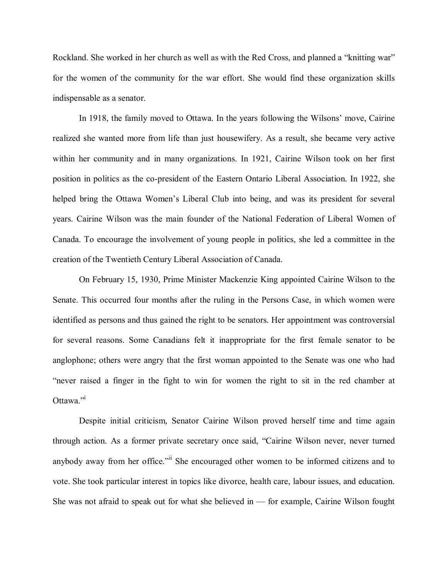Rockland. She worked in her church as well as with the Red Cross, and planned a "knitting war" for the women of the community for the war effort. She would find these organization skills indispensable as a senator.

In 1918, the family moved to Ottawa. In the years following the Wilsons' move, Cairine realized she wanted more from life than just housewifery. As a result, she became very active within her community and in many organizations. In 1921, Cairine Wilson took on her first position in politics as the co-president of the Eastern Ontario Liberal Association. In 1922, she helped bring the Ottawa Women's Liberal Club into being, and was its president for several years. Cairine Wilson was the main founder of the National Federation of Liberal Women of Canada. To encourage the involvement of young people in politics, she led a committee in the creation of the Twentieth Century Liberal Association of Canada.

On February 15, 1930, Prime Minister Mackenzie King appointed Cairine Wilson to the Senate. This occurred four months after the ruling in the Persons Case, in which women were identified as persons and thus gained the right to be senators. Her appointment was controversial for several reasons. Some Canadians felt it inappropriate for the first female senator to be anglophone; others were angry that the first woman appointed to the Senate was one who had "never raised a finger in the fight to win for women the right to sit in the red chamber at Ottawa<sup>"</sup>

Despite initial criticism, Senator Cairine Wilson proved herself time and time again through action. As a former private secretary once said, "Cairine Wilson never, never turned anybody away from her office." She encouraged other women to be informed citizens and to vote. She took particular interest in topics like divorce, health care, labour issues, and education. She was not afraid to speak out for what she believed in — for example, Cairine Wilson fought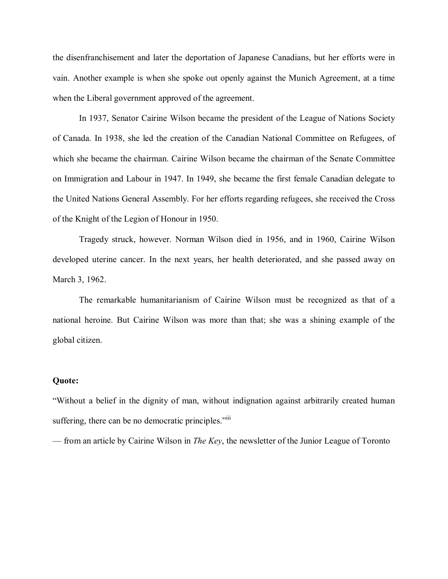the disenfranchisement and later the deportation of Japanese Canadians, but her efforts were in vain. Another example is when she spoke out openly against the Munich Agreement, at a time when the Liberal government approved of the agreement.

In 1937, Senator Cairine Wilson became the president of the League of Nations Society of Canada. In 1938, she led the creation of the Canadian National Committee on Refugees, of which she became the chairman. Cairine Wilson became the chairman of the Senate Committee on Immigration and Labour in 1947. In 1949, she became the first female Canadian delegate to the United Nations General Assembly. For her efforts regarding refugees, she received the Cross of the Knight of the Legion of Honour in 1950.

Tragedy struck, however. Norman Wilson died in 1956, and in 1960, Cairine Wilson developed uterine cancer. In the next years, her health deteriorated, and she passed away on March 3, 1962.

The remarkable humanitarianism of Cairine Wilson must be recognized as that of a national heroine. But Cairine Wilson was more than that; she was a shining example of the global citizen.

## **Quote:**

"Without a belief in the dignity of man, without indignation against arbitrarily created human suffering, there can be no democratic principles."

— from an article by Cairine Wilson in *The Key*, the newsletter of the Junior League of Toronto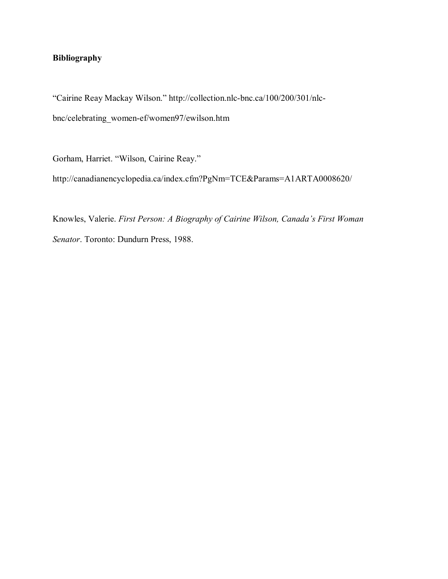## **Bibliography**

"Cairine Reay Mackay Wilson." http://collection.nlc-bnc.ca/100/200/301/nlc[bnc/celebrating\\_womenef/women97/ewilson.htm](http://collection.nlc-bnc.ca/100/200/301/nlc-bnc/celebrating_women-ef/women97/ewilson.htm) 

Gorham, Harriet. "Wilson, Cairine Reay."

<http://canadianencyclopedia.ca/index.cfm?PgNm=TCE&Params=A1ARTA0008620/>

Knowles, Valerie. *First Person: A Biography of Cairine Wilson, Canada's First Woman Senator*. Toronto: Dundurn Press, 1988.